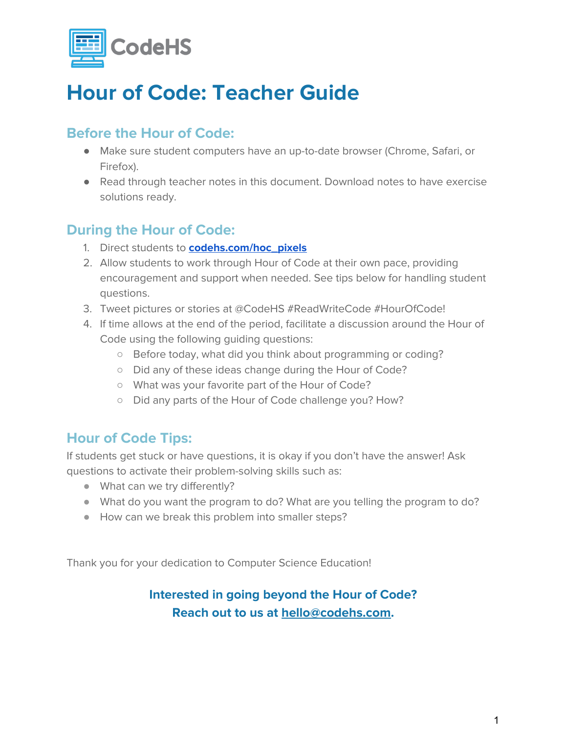

## **Hour of Code: Teacher Guide**

## **Before the Hour of Code:**

- Make sure student computers have an up-to-date browser (Chrome, Safari, or Firefox).
- Read through teacher notes in this document. Download notes to have exercise solutions ready.

### **During the Hour of Code:**

- 1. Direct students to **[codehs.com/hoc\\_pixels](http://codehs.com/hoc_pixels)**
- 2. Allow students to work through Hour of Code at their own pace, providing encouragement and support when needed. See tips below for handling student questions.
- 3. Tweet pictures or stories at @CodeHS #ReadWriteCode #HourOfCode!
- 4. If time allows at the end of the period, facilitate a discussion around the Hour of Code using the following guiding questions:
	- Before today, what did you think about programming or coding?
	- Did any of these ideas change during the Hour of Code?
	- What was your favorite part of the Hour of Code?
	- Did any parts of the Hour of Code challenge you? How?

## **Hour of Code Tips:**

If students get stuck or have questions, it is okay if you don't have the answer! Ask questions to activate their problem-solving skills such as:

- What can we try differently?
- What do you want the program to do? What are you telling the program to do?
- How can we break this problem into smaller steps?

Thank you for your dedication to Computer Science Education!

### **Interested in going beyond the Hour of Code? Reach out to us at [hello@codehs.com](mailto:hello@codehs.com).**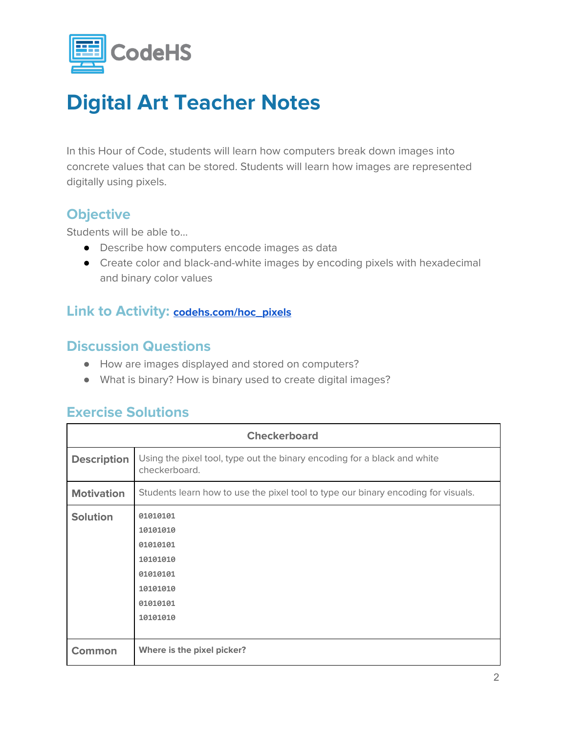

In this Hour of Code, students will learn how computers break down images into concrete values that can be stored. Students will learn how images are represented digitally using pixels.

#### **Objective**

Students will be able to…

- Describe how computers encode images as data
- Create color and black-and-white images by encoding pixels with hexadecimal and binary color values

#### **Link to Activity: [codehs.com/hoc\\_pixels](http://codehs.com/hoc_pixels)**

#### **Discussion Questions**

- How are images displayed and stored on computers?
- What is binary? How is binary used to create digital images?

### **Exercise Solutions**

| <b>Checkerboard</b> |                                                                                              |  |  |  |
|---------------------|----------------------------------------------------------------------------------------------|--|--|--|
| <b>Description</b>  | Using the pixel tool, type out the binary encoding for a black and white<br>checkerboard.    |  |  |  |
| <b>Motivation</b>   | Students learn how to use the pixel tool to type our binary encoding for visuals.            |  |  |  |
| <b>Solution</b>     | 01010101<br>10101010<br>01010101<br>10101010<br>01010101<br>10101010<br>01010101<br>10101010 |  |  |  |
| Common              | Where is the pixel picker?                                                                   |  |  |  |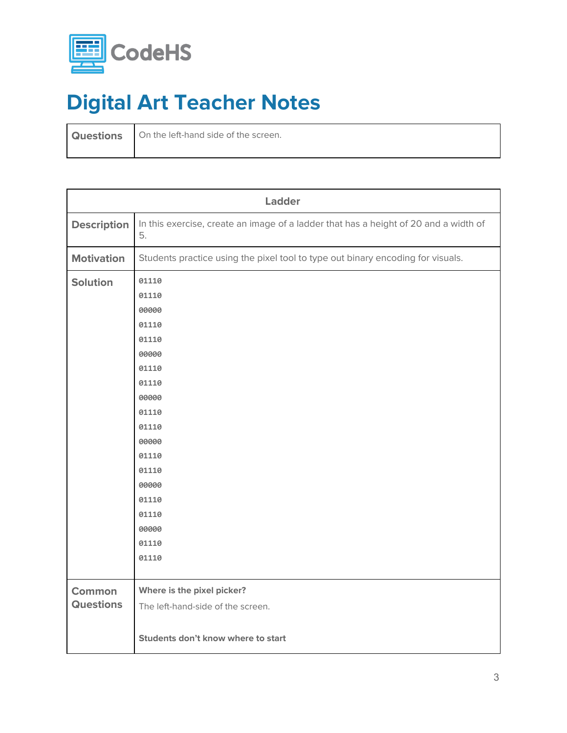

**Questions** On the left-hand side of the screen.

|                    | Ladder                                                                                     |  |  |  |  |  |  |
|--------------------|--------------------------------------------------------------------------------------------|--|--|--|--|--|--|
| <b>Description</b> | In this exercise, create an image of a ladder that has a height of 20 and a width of<br>5. |  |  |  |  |  |  |
| <b>Motivation</b>  | Students practice using the pixel tool to type out binary encoding for visuals.            |  |  |  |  |  |  |
| <b>Solution</b>    | 01110                                                                                      |  |  |  |  |  |  |
|                    | 01110                                                                                      |  |  |  |  |  |  |
|                    | 00000                                                                                      |  |  |  |  |  |  |
|                    | 01110                                                                                      |  |  |  |  |  |  |
|                    | 01110                                                                                      |  |  |  |  |  |  |
|                    | 00000                                                                                      |  |  |  |  |  |  |
|                    | 01110                                                                                      |  |  |  |  |  |  |
|                    | 01110                                                                                      |  |  |  |  |  |  |
|                    | 00000                                                                                      |  |  |  |  |  |  |
|                    | 01110                                                                                      |  |  |  |  |  |  |
|                    | 01110                                                                                      |  |  |  |  |  |  |
|                    | 00000                                                                                      |  |  |  |  |  |  |
|                    | 01110                                                                                      |  |  |  |  |  |  |
|                    | 01110                                                                                      |  |  |  |  |  |  |
|                    | 00000                                                                                      |  |  |  |  |  |  |
|                    | 01110                                                                                      |  |  |  |  |  |  |
|                    | 01110                                                                                      |  |  |  |  |  |  |
|                    | 00000                                                                                      |  |  |  |  |  |  |
|                    | 01110                                                                                      |  |  |  |  |  |  |
|                    | 01110                                                                                      |  |  |  |  |  |  |
|                    |                                                                                            |  |  |  |  |  |  |
| <b>Common</b>      | Where is the pixel picker?                                                                 |  |  |  |  |  |  |
| <b>Questions</b>   | The left-hand-side of the screen.                                                          |  |  |  |  |  |  |
|                    |                                                                                            |  |  |  |  |  |  |
|                    | Students don't know where to start                                                         |  |  |  |  |  |  |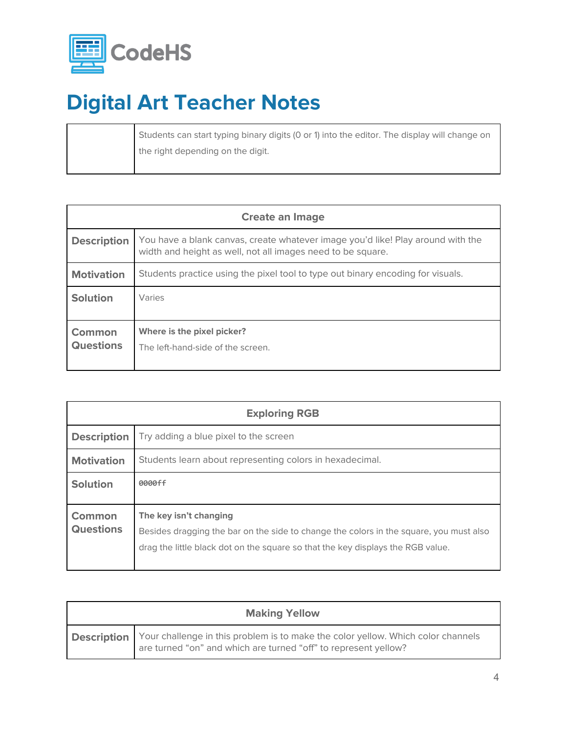

Students can start typing binary digits (0 or 1) into the editor. The display will change on the right depending on the digit.

| <b>Create an Image</b>            |                                                                                                                                                |  |  |  |
|-----------------------------------|------------------------------------------------------------------------------------------------------------------------------------------------|--|--|--|
| <b>Description</b>                | You have a blank canvas, create whatever image you'd like! Play around with the<br>width and height as well, not all images need to be square. |  |  |  |
| <b>Motivation</b>                 | Students practice using the pixel tool to type out binary encoding for visuals.                                                                |  |  |  |
| <b>Solution</b>                   | Varies                                                                                                                                         |  |  |  |
| <b>Common</b><br><b>Questions</b> | Where is the pixel picker?<br>The left-hand-side of the screen.                                                                                |  |  |  |

| <b>Exploring RGB</b>              |                                                                                                                                                                                                     |  |  |  |
|-----------------------------------|-----------------------------------------------------------------------------------------------------------------------------------------------------------------------------------------------------|--|--|--|
| <b>Description</b>                | Try adding a blue pixel to the screen                                                                                                                                                               |  |  |  |
| <b>Motivation</b>                 | Students learn about representing colors in hexadecimal.                                                                                                                                            |  |  |  |
| <b>Solution</b>                   | 0000ff                                                                                                                                                                                              |  |  |  |
| <b>Common</b><br><b>Questions</b> | The key isn't changing<br>Besides dragging the bar on the side to change the colors in the square, you must also<br>drag the little black dot on the square so that the key displays the RGB value. |  |  |  |

| <b>Making Yellow</b> |                                                                                                                                                                        |  |  |  |
|----------------------|------------------------------------------------------------------------------------------------------------------------------------------------------------------------|--|--|--|
|                      | <b>Description</b> Your challenge in this problem is to make the color yellow. Which color channels<br>are turned "on" and which are turned "off" to represent yellow? |  |  |  |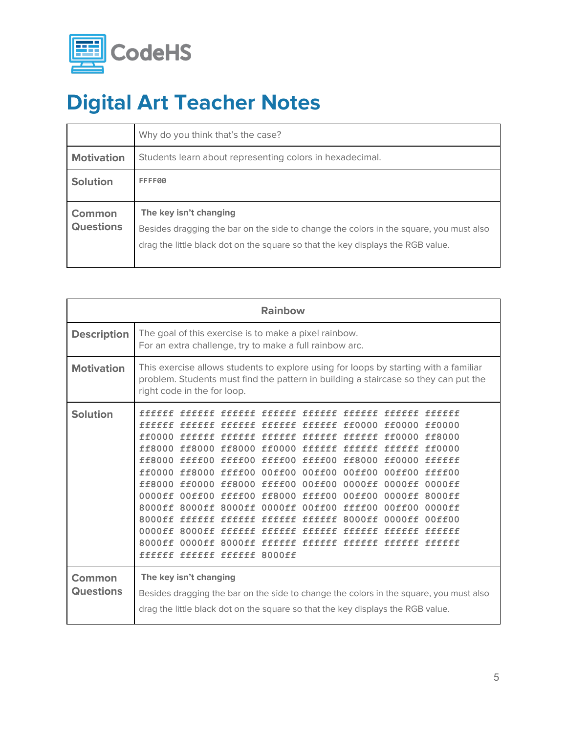

|                            | Why do you think that's the case?                                                                                                                                                                   |  |  |  |  |  |
|----------------------------|-----------------------------------------------------------------------------------------------------------------------------------------------------------------------------------------------------|--|--|--|--|--|
| <b>Motivation</b>          | Students learn about representing colors in hexadecimal.                                                                                                                                            |  |  |  |  |  |
| <b>Solution</b>            | FFFF00                                                                                                                                                                                              |  |  |  |  |  |
| Common<br><b>Questions</b> | The key isn't changing<br>Besides dragging the bar on the side to change the colors in the square, you must also<br>drag the little black dot on the square so that the key displays the RGB value. |  |  |  |  |  |
|                            |                                                                                                                                                                                                     |  |  |  |  |  |

| <b>Rainbow</b>             |                                                                                                                                                                                                                                                                                                                                                                                                                                                                                             |  |  |  |  |                                |                      |                                                          |
|----------------------------|---------------------------------------------------------------------------------------------------------------------------------------------------------------------------------------------------------------------------------------------------------------------------------------------------------------------------------------------------------------------------------------------------------------------------------------------------------------------------------------------|--|--|--|--|--------------------------------|----------------------|----------------------------------------------------------|
| <b>Description</b>         | The goal of this exercise is to make a pixel rainbow.<br>For an extra challenge, try to make a full rainbow arc.                                                                                                                                                                                                                                                                                                                                                                            |  |  |  |  |                                |                      |                                                          |
| <b>Motivation</b>          | This exercise allows students to explore using for loops by starting with a familiar<br>problem. Students must find the pattern in building a staircase so they can put the<br>right code in the for loop.                                                                                                                                                                                                                                                                                  |  |  |  |  |                                |                      |                                                          |
| <b>Solution</b>            | ffffff ffffff ffffff ffffff ffffff<br>ff8000 ff8000 ff8000 ff0000 ffffff ffffff ffffff ff0000<br>ff8000 ffff00 ffff00 ffff00 ffff00 ff8000 ff0000 fffffff<br>ff0000 ff8000 ffff00 00ff00 00ff00 00ff00 00ff00 ffff00<br>ff8000 ff0000 ff8000 ffff00 00ff00<br>0000ff 00ff00 ffff00 ff8000 ffff00 00ff00 0000ff<br>8000ff 8000ff 8000ff 0000ff 00ff00 ffff00 00ff00<br>8000ff ffffff ffffff ffffff ffffff 8000ff 0000ff<br>0000ff 8000ff ffffff ffffff ffffff<br>ffffff ffffff ffffff 8000ff |  |  |  |  | 0000ff 0000ff<br>ffffff ffffff | ff0000 ff0000 ff0000 | ffffff<br>0000ff<br>8000ff<br>0000ff<br>00ff00<br>ffffff |
| Common<br><b>Questions</b> | The key isn't changing<br>Besides dragging the bar on the side to change the colors in the square, you must also<br>drag the little black dot on the square so that the key displays the RGB value.                                                                                                                                                                                                                                                                                         |  |  |  |  |                                |                      |                                                          |